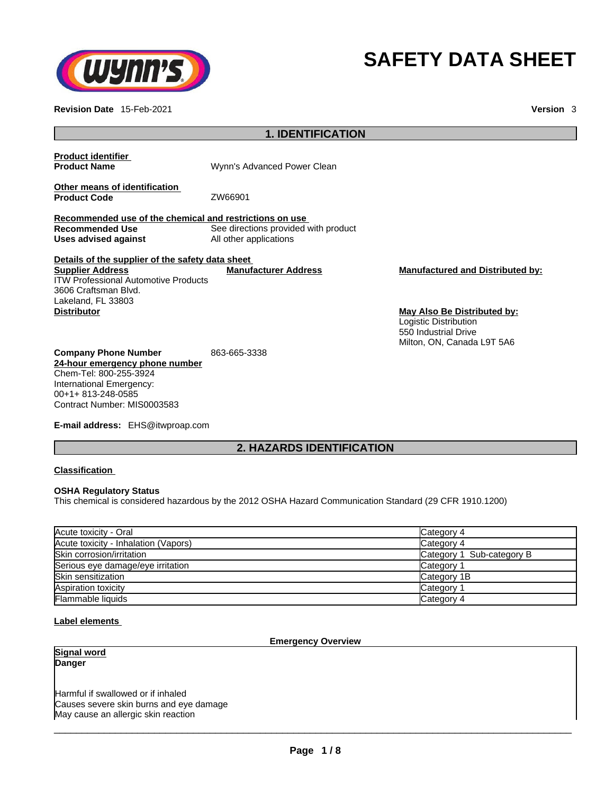

**Revision Date** 15-Feb-2021 **Version** 3

# **SAFETY DATA SHEET**

| <b>1. IDENTIFICATION</b>                                                                                             |                                                                |                                                                                                            |  |
|----------------------------------------------------------------------------------------------------------------------|----------------------------------------------------------------|------------------------------------------------------------------------------------------------------------|--|
| <b>Product identifier</b><br><b>Product Name</b>                                                                     | Wynn's Advanced Power Clean                                    |                                                                                                            |  |
| Other means of identification<br><b>Product Code</b>                                                                 | ZW66901                                                        |                                                                                                            |  |
| Recommended use of the chemical and restrictions on use                                                              |                                                                |                                                                                                            |  |
| <b>Recommended Use</b><br>Uses advised against                                                                       | See directions provided with product<br>All other applications |                                                                                                            |  |
| Details of the supplier of the safety data sheet                                                                     |                                                                |                                                                                                            |  |
| <b>Supplier Address</b><br><b>ITW Professional Automotive Products</b><br>3606 Craftsman Blvd.<br>Lakeland, FL 33803 | <b>Manufacturer Address</b>                                    | <b>Manufactured and Distributed by:</b>                                                                    |  |
| <b>Distributor</b>                                                                                                   |                                                                | May Also Be Distributed by:<br>Logistic Distribution<br>550 Industrial Drive<br>Milton, ON, Canada L9T 5A6 |  |
| <b>Company Phone Number</b>                                                                                          | 863-665-3338                                                   |                                                                                                            |  |
| 24-hour emergency phone number                                                                                       |                                                                |                                                                                                            |  |
| Chem-Tel: 800-255-3924<br>International Emergency:                                                                   |                                                                |                                                                                                            |  |
| 00+1+813-248-0585                                                                                                    |                                                                |                                                                                                            |  |
| Contract Number: MIS0003583                                                                                          |                                                                |                                                                                                            |  |

**E-mail address:** EHS@itwproap.com

# **2. HAZARDS IDENTIFICATION**

**Classification**

## **OSHA Regulatory Status**

This chemical is considered hazardous by the 2012 OSHA Hazard Communication Standard (29 CFR 1910.1200)

| Acute toxicity - Oral                | Category 4                |
|--------------------------------------|---------------------------|
| Acute toxicity - Inhalation (Vapors) | Category 4                |
| Skin corrosion/irritation            | Category 1 Sub-category B |
| Serious eye damage/eye irritation    | Category 1                |
| Skin sensitization                   | Category 1B               |
| Aspiration toxicity                  | Category 1                |
| <b>Flammable liquids</b>             | Category 4                |

# **Label elements**

## **Emergency Overview**

**Signal word Danger** 

Harmful if swallowed or if inhaled Causes severe skin burns and eye damage May cause an allergic skin reaction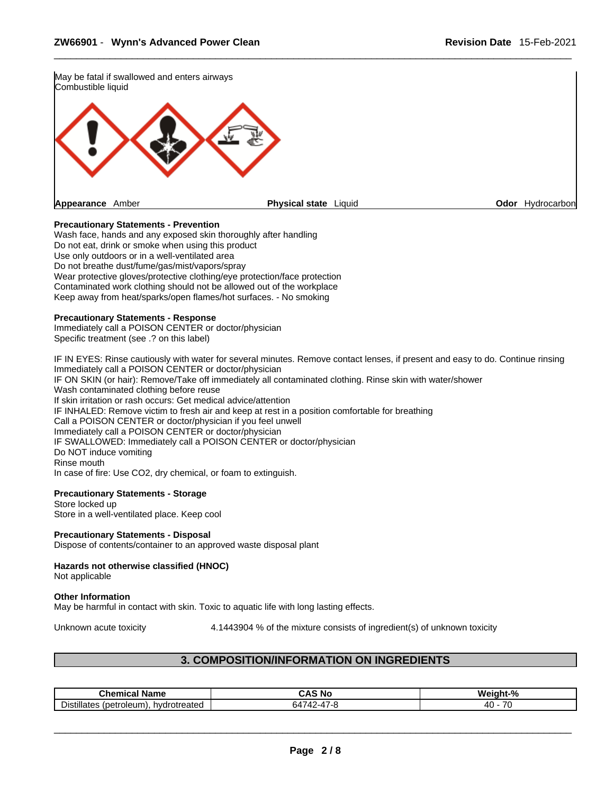

#### **Precautionary Statements - Prevention**

Wash face, hands and any exposed skin thoroughly after handling Do not eat, drink or smoke when using this product Use only outdoors or in a well-ventilated area Do not breathe dust/fume/gas/mist/vapors/spray Wear protective gloves/protective clothing/eye protection/face protection Contaminated work clothing should not be allowed out of the workplace Keep away from heat/sparks/open flames/hot surfaces. - No smoking

#### **Precautionary Statements - Response**

Immediately call a POISON CENTER or doctor/physician Specific treatment (see .? on this label)

IF IN EYES: Rinse cautiously with water for several minutes. Remove contact lenses, if present and easy to do. Continue rinsing Immediately call a POISON CENTER or doctor/physician IF ON SKIN (or hair): Remove/Take off immediately all contaminated clothing. Rinse skin with water/shower Wash contaminated clothing before reuse If skin irritation or rash occurs: Get medical advice/attention IF INHALED: Remove victim to fresh air and keep at rest in a position comfortable for breathing Call a POISON CENTER or doctor/physician if you feel unwell Immediately call a POISON CENTER or doctor/physician IF SWALLOWED: Immediately call a POISON CENTER or doctor/physician Do NOT induce vomiting Rinse mouth In case of fire: Use CO2, dry chemical, or foam to extinguish.

#### **Precautionary Statements - Storage**

Store locked up Store in a well-ventilated place. Keep cool

#### **Precautionary Statements - Disposal**

Dispose of contents/container to an approved waste disposal plant

# **Hazards not otherwise classified (HNOC)**

Not applicable

#### **Other Information**

May be harmful in contact with skin. Toxic to aquatic life with long lasting effects.

Unknown acute toxicity 4.1443904 % of the mixture consists of ingredient(s) of unknown toxicity

# **3. COMPOSITION/INFORMATION ON INGREDIENTS**

| . .<br>Chemical<br>Name                                                      | 'NC<br>AS. ' | .<br>$\Omega$<br>We<br>eiaht-% |
|------------------------------------------------------------------------------|--------------|--------------------------------|
| $- \cdot$<br>$\cdot \cdot \cdot$<br>hvdrotreated<br>Detroleum<br>Distillates | -<br>n'/     | $\overline{\phantom{a}}$<br>40 |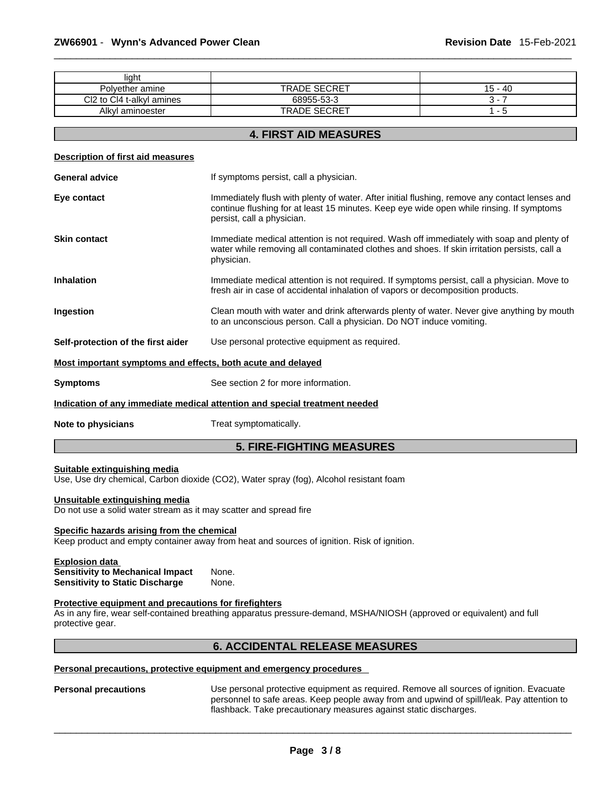| light                                                                                               |                                                                                                                                                                                                                         |           |
|-----------------------------------------------------------------------------------------------------|-------------------------------------------------------------------------------------------------------------------------------------------------------------------------------------------------------------------------|-----------|
| Polyether amine                                                                                     | <b>TRADE SECRET</b>                                                                                                                                                                                                     | $15 - 40$ |
| Cl2 to Cl4 t-alkyl amines                                                                           | 68955-53-3                                                                                                                                                                                                              | $3 - 7$   |
| Alkyl aminoester                                                                                    | <b>TRADE SECRET</b>                                                                                                                                                                                                     | $1 - 5$   |
|                                                                                                     | <b>4. FIRST AID MEASURES</b>                                                                                                                                                                                            |           |
| Description of first aid measures                                                                   |                                                                                                                                                                                                                         |           |
| <b>General advice</b>                                                                               | If symptoms persist, call a physician.                                                                                                                                                                                  |           |
| Eye contact                                                                                         | Immediately flush with plenty of water. After initial flushing, remove any contact lenses and<br>continue flushing for at least 15 minutes. Keep eye wide open while rinsing. If symptoms<br>persist, call a physician. |           |
| <b>Skin contact</b>                                                                                 | Immediate medical attention is not required. Wash off immediately with soap and plenty of<br>water while removing all contaminated clothes and shoes. If skin irritation persists, call a<br>physician.                 |           |
| <b>Inhalation</b>                                                                                   | Immediate medical attention is not required. If symptoms persist, call a physician. Move to<br>fresh air in case of accidental inhalation of vapors or decomposition products.                                          |           |
| Ingestion                                                                                           | Clean mouth with water and drink afterwards plenty of water. Never give anything by mouth<br>to an unconscious person. Call a physician. Do NOT induce vomiting.                                                        |           |
| Self-protection of the first aider                                                                  | Use personal protective equipment as required.                                                                                                                                                                          |           |
| Most important symptoms and effects, both acute and delayed                                         |                                                                                                                                                                                                                         |           |
| <b>Symptoms</b>                                                                                     | See section 2 for more information.                                                                                                                                                                                     |           |
|                                                                                                     | Indication of any immediate medical attention and special treatment needed                                                                                                                                              |           |
| Note to physicians                                                                                  | Treat symptomatically.                                                                                                                                                                                                  |           |
|                                                                                                     | <b>5. FIRE-FIGHTING MEASURES</b>                                                                                                                                                                                        |           |
| Suitable extinguishing media                                                                        | Use, Use dry chemical, Carbon dioxide (CO2), Water spray (fog), Alcohol resistant foam                                                                                                                                  |           |
| Unsuitable extinguishing media<br>Do not use a solid water stream as it may scatter and spread fire |                                                                                                                                                                                                                         |           |
| Specific hazards arising from the chemical                                                          | Keep product and empty container away from heat and sources of ignition. Risk of ignition.                                                                                                                              |           |
| <b>Explosion data</b>                                                                               |                                                                                                                                                                                                                         |           |

**Sensitivity to Mechanical Impact** None. **Sensitivity to Static Discharge** None.

# **Protective equipment and precautions for firefighters**

As in any fire, wear self-contained breathing apparatus pressure-demand, MSHA/NIOSH (approved or equivalent) and full protective gear.

# **6. ACCIDENTAL RELEASE MEASURES**

#### **Personal precautions, protective equipment and emergency procedures**

Personal precautions **Use personal protective equipment as required.** Remove all sources of ignition. Evacuate personnel to safe areas. Keep people away from and upwind of spill/leak. Pay attention to flashback. Take precautionary measures against static discharges.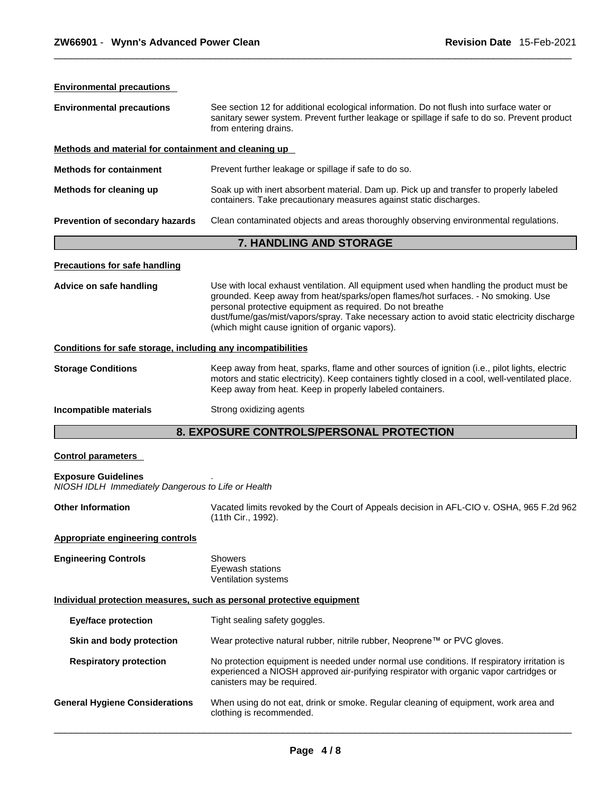| <b>Environmental precautions</b>                             |                                                                                                                                                                                                                                                                                                                                                                                              |  |
|--------------------------------------------------------------|----------------------------------------------------------------------------------------------------------------------------------------------------------------------------------------------------------------------------------------------------------------------------------------------------------------------------------------------------------------------------------------------|--|
| <b>Environmental precautions</b>                             | See section 12 for additional ecological information. Do not flush into surface water or<br>sanitary sewer system. Prevent further leakage or spillage if safe to do so. Prevent product<br>from entering drains.                                                                                                                                                                            |  |
| Methods and material for containment and cleaning up         |                                                                                                                                                                                                                                                                                                                                                                                              |  |
| <b>Methods for containment</b>                               | Prevent further leakage or spillage if safe to do so.                                                                                                                                                                                                                                                                                                                                        |  |
| Methods for cleaning up                                      | Soak up with inert absorbent material. Dam up. Pick up and transfer to properly labeled<br>containers. Take precautionary measures against static discharges.                                                                                                                                                                                                                                |  |
| Prevention of secondary hazards                              | Clean contaminated objects and areas thoroughly observing environmental regulations.                                                                                                                                                                                                                                                                                                         |  |
|                                                              | 7. HANDLING AND STORAGE                                                                                                                                                                                                                                                                                                                                                                      |  |
| <b>Precautions for safe handling</b>                         |                                                                                                                                                                                                                                                                                                                                                                                              |  |
| Advice on safe handling                                      | Use with local exhaust ventilation. All equipment used when handling the product must be<br>grounded. Keep away from heat/sparks/open flames/hot surfaces. - No smoking. Use<br>personal protective equipment as required. Do not breathe<br>dust/fume/gas/mist/vapors/spray. Take necessary action to avoid static electricity discharge<br>(which might cause ignition of organic vapors). |  |
| Conditions for safe storage, including any incompatibilities |                                                                                                                                                                                                                                                                                                                                                                                              |  |
| <b>Storage Conditions</b>                                    | Keep away from heat, sparks, flame and other sources of ignition (i.e., pilot lights, electric<br>motors and static electricity). Keep containers tightly closed in a cool, well-ventilated place.<br>Keep away from heat. Keep in properly labeled containers.                                                                                                                              |  |
| Incompatible materials                                       | Strong oxidizing agents                                                                                                                                                                                                                                                                                                                                                                      |  |
|                                                              | 8. EXPOSURE CONTROLS/PERSONAL PROTECTION                                                                                                                                                                                                                                                                                                                                                     |  |
| <b>Control parameters</b>                                    |                                                                                                                                                                                                                                                                                                                                                                                              |  |

# **Exposure Guidelines** .

*NIOSH IDLH Immediately Dangerous to Life or Health* 

| <b>Other Information</b> | Vacated limits revoked by the Court of Appeals decision in AFL-CIO v. OSHA, 965 F.2d 962 |
|--------------------------|------------------------------------------------------------------------------------------|
|                          | (11th Cir., 1992).                                                                       |

# **Appropriate engineering controls**

**Engineering Controls** Showers Eyewash stations Ventilation systems

## **Individual protection measures, such as personal protective equipment**

| <b>Eye/face protection</b>            | Tight sealing safety goggles.                                                                                                                                                                                       |
|---------------------------------------|---------------------------------------------------------------------------------------------------------------------------------------------------------------------------------------------------------------------|
| Skin and body protection              | Wear protective natural rubber, nitrile rubber, Neoprene™ or PVC gloves.                                                                                                                                            |
| <b>Respiratory protection</b>         | No protection equipment is needed under normal use conditions. If respiratory irritation is<br>experienced a NIOSH approved air-purifying respirator with organic vapor cartridges or<br>canisters may be required. |
| <b>General Hygiene Considerations</b> | When using do not eat, drink or smoke. Regular cleaning of equipment, work area and<br>clothing is recommended.                                                                                                     |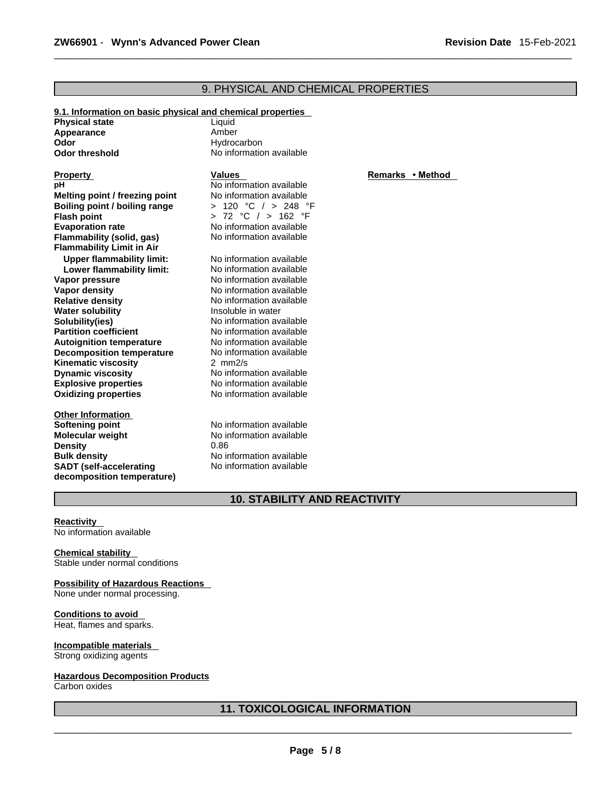# 9. PHYSICAL AND CHEMICAL PROPERTIES

| 9.1. Information on basic physical and chemical properties |                          |           |
|------------------------------------------------------------|--------------------------|-----------|
| <b>Physical state</b>                                      | Liquid                   |           |
| Appearance                                                 | Amber                    |           |
| Odor                                                       | Hydrocarbon              |           |
| <b>Odor threshold</b>                                      | No information available |           |
| <b>Property</b>                                            | <b>Values</b>            | Remarks • |
| pН                                                         | No information available |           |
| Melting point / freezing point                             | No information available |           |
| Boiling point / boiling range                              | > 120 °C / > 248 °F      |           |
| <b>Flash point</b>                                         | > 72 °C / > 162 °F       |           |
| <b>Evaporation rate</b>                                    | No information available |           |
| <b>Flammability (solid, gas)</b>                           | No information available |           |
| <b>Flammability Limit in Air</b>                           |                          |           |
| <b>Upper flammability limit:</b>                           | No information available |           |
| Lower flammability limit:                                  | No information available |           |
| Vapor pressure                                             | No information available |           |
| <b>Vapor density</b>                                       | No information available |           |
| <b>Relative density</b>                                    | No information available |           |
| <b>Water solubility</b>                                    | Insoluble in water       |           |
| Solubility(ies)                                            | No information available |           |
| <b>Partition coefficient</b>                               | No information available |           |
| <b>Autoignition temperature</b>                            | No information available |           |
| <b>Decomposition temperature</b>                           | No information available |           |
| <b>Kinematic viscosity</b>                                 | 2 $mm2/s$                |           |
| <b>Dynamic viscosity</b>                                   | No information available |           |
| <b>Explosive properties</b>                                | No information available |           |
| <b>Oxidizing properties</b>                                | No information available |           |
| <b>Other Information</b>                                   |                          |           |
| Softening point                                            | No information available |           |
| <b>Molecular weight</b>                                    | No information available |           |
| <b>Density</b>                                             | 0.86                     |           |
| <b>Bulk density</b>                                        | No information available |           |

#### **Remarks • Method**

# **10. STABILITY AND REACTIVITY**

No information available

**Reactivity**  No information available

**Chemical stability**  Stable under normal conditions

## **Possibility of Hazardous Reactions**

**SADT (self-accelerating decomposition temperature)**

None under normal processing.

#### **Conditions to avoid**  Heat, flames and sparks.

**Incompatible materials**  Strong oxidizing agents

# **Hazardous Decomposition Products**

Carbon oxides

# **11. TOXICOLOGICAL INFORMATION**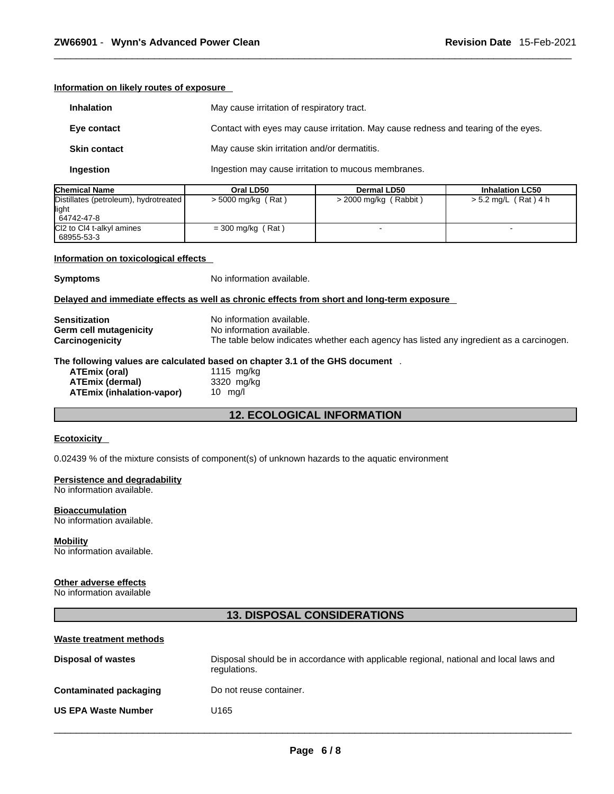**Information on likely routes of exposure**

| <b>Inhalation</b>   | May cause irritation of respiratory tract.                                         |
|---------------------|------------------------------------------------------------------------------------|
| Eye contact         | Contact with eyes may cause irritation. May cause redness and tearing of the eyes. |
| <b>Skin contact</b> | May cause skin irritation and/or dermatitis.                                       |
| Ingestion           | Ingestion may cause irritation to mucous membranes.                                |

| <b>Chemical Name</b>                                          | Oral LD50           | <b>Dermal LD50</b>    | <b>Inhalation LC50</b>   |
|---------------------------------------------------------------|---------------------|-----------------------|--------------------------|
| Distillates (petroleum), hydrotreated<br>llight<br>64742-47-8 | > 5000 mg/kg (Rat)  | > 2000 mg/kg (Rabbit) | $> 5.2$ mg/L (Rat) 4 h   |
| CI2 to CI4 t-alkyl amines<br>68955-53-3                       | $=$ 300 mg/kg (Rat) |                       | $\overline{\phantom{0}}$ |

#### **Information on toxicological effects**

**Symptoms** No information available.

#### **Delayed and immediate effects as well as chronic effects from short and long-term exposure**

| <b>Sensitization</b>   | No information available.                                                                |
|------------------------|------------------------------------------------------------------------------------------|
| Germ cell mutagenicity | No information available.                                                                |
| Carcinogenicity        | The table below indicates whether each agency has listed any ingredient as a carcinogen. |
|                        | The following values are calculated based on chapter 3.1 of the GHS document             |
| ATEmix (oral)          | 1115 mg/kg                                                                               |
| <b>ATEmix (dermal)</b> | 3320 mg/kg                                                                               |
|                        |                                                                                          |

| A I Emix (oral)           | 1115 mg/kg       |  |
|---------------------------|------------------|--|
| ATEmix (dermal)           | 3320 mg/kg       |  |
| ATEmix (inhalation-vapor) | $10 \text{ rad}$ |  |

# **12. ECOLOGICAL INFORMATION**

#### **Ecotoxicity**

0.02439 % of the mixture consists of component(s) of unknown hazards to the aquatic environment

# **Persistence and degradability**

No information available.

#### **Bioaccumulation**

No information available.

# **Mobility**

No information available.

#### **Other adverse effects**

No information available

# **13. DISPOSAL CONSIDERATIONS**

| Waste treatment methods       |                                                                                                        |
|-------------------------------|--------------------------------------------------------------------------------------------------------|
| <b>Disposal of wastes</b>     | Disposal should be in accordance with applicable regional, national and local laws and<br>regulations. |
| <b>Contaminated packaging</b> | Do not reuse container.                                                                                |
| <b>US EPA Waste Number</b>    | U165                                                                                                   |
|                               |                                                                                                        |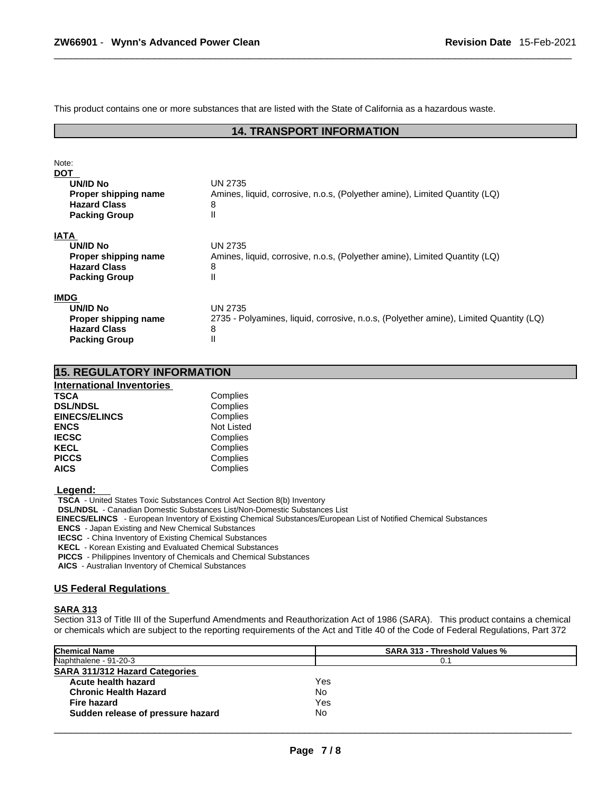This product contains one or more substances that are listed with the State of California as a hazardous waste.

## **14. TRANSPORT INFORMATION**

| Note:<br><b>DOT</b><br>UN/ID No<br>Proper shipping name<br><b>Hazard Class</b><br><b>Packing Group</b> | UN 2735<br>Amines, liquid, corrosive, n.o.s, (Polyether amine), Limited Quantity (LQ)<br>8<br>Ш       |
|--------------------------------------------------------------------------------------------------------|-------------------------------------------------------------------------------------------------------|
| <b>IATA</b><br>UN/ID No<br>Proper shipping name<br><b>Hazard Class</b><br><b>Packing Group</b>         | UN 2735<br>Amines, liquid, corrosive, n.o.s, (Polyether amine), Limited Quantity (LQ)<br>8<br>Ш       |
| <b>IMDG</b><br>UN/ID No<br>Proper shipping name<br><b>Hazard Class</b><br><b>Packing Group</b>         | UN 2735<br>2735 - Polyamines, liquid, corrosive, n.o.s, (Polyether amine), Limited Quantity (LQ)<br>8 |

| International Inventories |                   |  |  |  |
|---------------------------|-------------------|--|--|--|
| <b>TSCA</b>               | Complies          |  |  |  |
| <b>DSL/NDSL</b>           | Complies          |  |  |  |
| <b>EINECS/ELINCS</b>      | Complies          |  |  |  |
| <b>ENCS</b>               | <b>Not Listed</b> |  |  |  |
| <b>IECSC</b>              | Complies          |  |  |  |
| <b>KECL</b>               | Complies          |  |  |  |
| <b>PICCS</b>              | Complies          |  |  |  |
| <b>AICS</b>               | Complies          |  |  |  |
|                           |                   |  |  |  |

**15. REGULATORY INFORMATION** 

 **Legend:** 

**TSCA** - United States Toxic Substances Control Act Section 8(b) Inventory

**DSL/NDSL** - Canadian Domestic Substances List/Non-Domestic Substances List

 **EINECS/ELINCS** - European Inventory of Existing Chemical Substances/European List of Notified Chemical Substances

**ENCS** - Japan Existing and New Chemical Substances

**IECSC** - China Inventory of Existing Chemical Substances

**KECL** - Korean Existing and Evaluated Chemical Substances

**PICCS** - Philippines Inventory of Chemicals and Chemical Substances

**AICS** - Australian Inventory of Chemical Substances

#### **US Federal Regulations**

#### **SARA 313**

Section 313 of Title III of the Superfund Amendments and Reauthorization Act of 1986 (SARA). This product contains a chemical or chemicals which are subject to the reporting requirements of the Act and Title 40 of the Code of Federal Regulations, Part 372

| <b>Chemical Name</b>              | <b>SARA 313 - Threshold Values %</b> |
|-----------------------------------|--------------------------------------|
| Naphthalene - 91-20-3             | 0.1                                  |
| SARA 311/312 Hazard Categories    |                                      |
| Acute health hazard               | Yes                                  |
| <b>Chronic Health Hazard</b>      | No                                   |
| Fire hazard                       | Yes                                  |
| Sudden release of pressure hazard | No                                   |